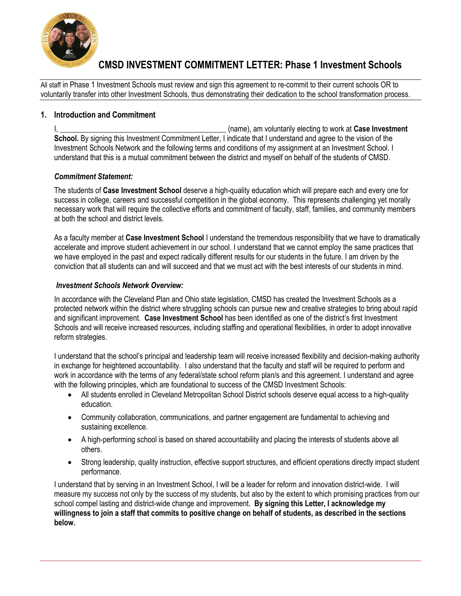

All staff in Phase 1 Investment Schools must review and sign this agreement to re-commit to their current schools OR to voluntarily transfer into other Investment Schools, thus demonstrating their dedication to the school transformation process.

### **1. Introduction and Commitment**

I, \_\_\_\_\_\_\_\_\_\_\_\_\_\_\_\_\_\_\_\_\_\_\_\_\_\_\_\_\_\_\_\_\_\_\_\_\_\_\_\_\_\_\_\_ (name), am voluntarily electing to work at **Case Investment School.** By signing this Investment Commitment Letter, I indicate that I understand and agree to the vision of the Investment Schools Network and the following terms and conditions of my assignment at an Investment School. I understand that this is a mutual commitment between the district and myself on behalf of the students of CMSD.

#### *Commitment Statement:*

The students of **Case Investment School** deserve a high-quality education which will prepare each and every one for success in college, careers and successful competition in the global economy. This represents challenging yet morally necessary work that will require the collective efforts and commitment of faculty, staff, families, and community members at both the school and district levels.

As a faculty member at **Case Investment School** I understand the tremendous responsibility that we have to dramatically accelerate and improve student achievement in our school. I understand that we cannot employ the same practices that we have employed in the past and expect radically different results for our students in the future. I am driven by the conviction that all students can and will succeed and that we must act with the best interests of our students in mind.

#### *Investment Schools Network Overview:*

In accordance with the Cleveland Plan and Ohio state legislation, CMSD has created the Investment Schools as a protected network within the district where struggling schools can pursue new and creative strategies to bring about rapid and significant improvement. **Case Investment School** has been identified as one of the district's first Investment Schools and will receive increased resources, including staffing and operational flexibilities, in order to adopt innovative reform strategies.

I understand that the school's principal and leadership team will receive increased flexibility and decision-making authority in exchange for heightened accountability. I also understand that the faculty and staff will be required to perform and work in accordance with the terms of any federal/state school reform plan/s and this agreement. I understand and agree with the following principles, which are foundational to success of the CMSD Investment Schools:

- All students enrolled in Cleveland Metropolitan School District schools deserve equal access to a high-quality education.
- Community collaboration, communications, and partner engagement are fundamental to achieving and sustaining excellence.
- A high-performing school is based on shared accountability and placing the interests of students above all others.
- Strong leadership, quality instruction, effective support structures, and efficient operations directly impact student performance.

I understand that by serving in an Investment School, I will be a leader for reform and innovation district-wide. I will measure my success not only by the success of my students, but also by the extent to which promising practices from our school compel lasting and district-wide change and improvement. **By signing this Letter, I acknowledge my willingness to join a staff that commits to positive change on behalf of students, as described in the sections below.**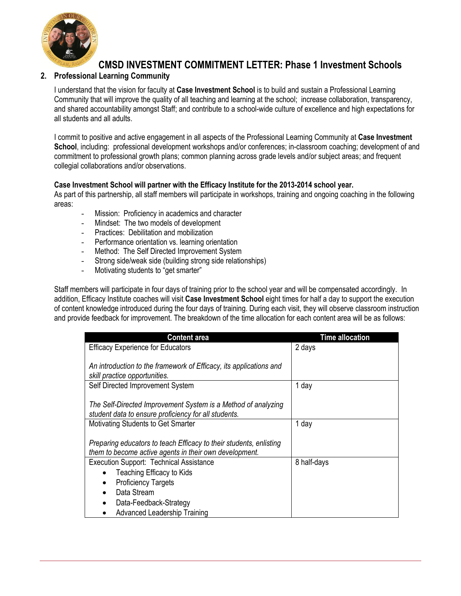

# **2. Professional Learning Community**

I understand that the vision for faculty at **Case Investment School** is to build and sustain a Professional Learning Community that will improve the quality of all teaching and learning at the school; increase collaboration, transparency, and shared accountability amongst Staff; and contribute to a school-wide culture of excellence and high expectations for all students and all adults.

I commit to positive and active engagement in all aspects of the Professional Learning Community at **Case Investment School**, including: professional development workshops and/or conferences; in-classroom coaching; development of and commitment to professional growth plans; common planning across grade levels and/or subject areas; and frequent collegial collaborations and/or observations.

## **Case Investment School will partner with the Efficacy Institute for the 2013-2014 school year.**

As part of this partnership, all staff members will participate in workshops, training and ongoing coaching in the following areas:

- Mission: Proficiency in academics and character
- Mindset: The two models of development
- Practices: Debilitation and mobilization
- Performance orientation vs. learning orientation
- Method: The Self Directed Improvement System
- Strong side/weak side (building strong side relationships)
- Motivating students to "get smarter"

Staff members will participate in four days of training prior to the school year and will be compensated accordingly. In addition, Efficacy Institute coaches will visit **Case Investment School** eight times for half a day to support the execution of content knowledge introduced during the four days of training. During each visit, they will observe classroom instruction and provide feedback for improvement. The breakdown of the time allocation for each content area will be as follows:

| <b>Content area</b>                                                | <b>Time allocation</b> |  |
|--------------------------------------------------------------------|------------------------|--|
| <b>Efficacy Experience for Educators</b>                           | 2 days                 |  |
|                                                                    |                        |  |
| An introduction to the framework of Efficacy, its applications and |                        |  |
| skill practice opportunities.                                      |                        |  |
| Self Directed Improvement System                                   | 1 day                  |  |
|                                                                    |                        |  |
| The Self-Directed Improvement System is a Method of analyzing      |                        |  |
| student data to ensure proficiency for all students.               |                        |  |
| Motivating Students to Get Smarter                                 | 1 day                  |  |
|                                                                    |                        |  |
| Preparing educators to teach Efficacy to their students, enlisting |                        |  |
| them to become active agents in their own development.             |                        |  |
| <b>Execution Support: Technical Assistance</b><br>8 half-days      |                        |  |
| <b>Teaching Efficacy to Kids</b>                                   |                        |  |
| <b>Proficiency Targets</b>                                         |                        |  |
| Data Stream                                                        |                        |  |
| Data-Feedback-Strategy                                             |                        |  |
| Advanced Leadership Training                                       |                        |  |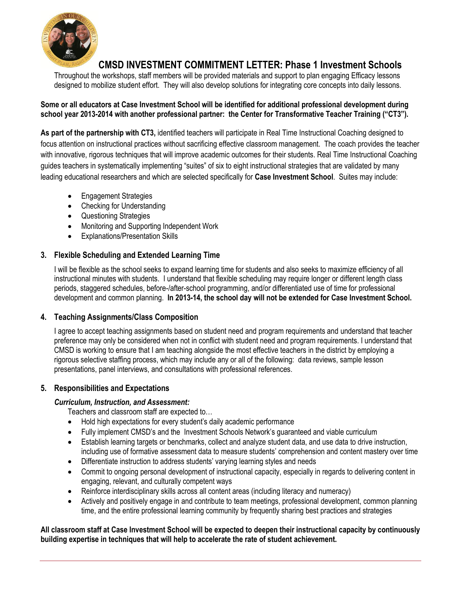

Throughout the workshops, staff members will be provided materials and support to plan engaging Efficacy lessons designed to mobilize student effort. They will also develop solutions for integrating core concepts into daily lessons.

## **Some or all educators at Case Investment School will be identified for additional professional development during school year 2013-2014 with another professional partner: the Center for Transformative Teacher Training ("CT3").**

**As part of the partnership with CT3,** identified teachers will participate in Real Time Instructional Coaching designed to focus attention on instructional practices without sacrificing effective classroom management. The coach provides the teacher with innovative, rigorous techniques that will improve academic outcomes for their students. Real Time Instructional Coaching guides teachers in systematically implementing "suites" of six to eight instructional strategies that are validated by many leading educational researchers and which are selected specifically for **Case Investment School**. Suites may include:

- Engagement Strategies
- Checking for Understanding
- Questioning Strategies
- Monitoring and Supporting Independent Work
- Explanations/Presentation Skills

## **3. Flexible Scheduling and Extended Learning Time**

I will be flexible as the school seeks to expand learning time for students and also seeks to maximize efficiency of all instructional minutes with students. I understand that flexible scheduling may require longer or different length class periods, staggered schedules, before-/after-school programming, and/or differentiated use of time for professional development and common planning. **In 2013-14, the school day will not be extended for Case Investment School.**

#### **4. Teaching Assignments/Class Composition**

I agree to accept teaching assignments based on student need and program requirements and understand that teacher preference may only be considered when not in conflict with student need and program requirements. I understand that CMSD is working to ensure that I am teaching alongside the most effective teachers in the district by employing a rigorous selective staffing process, which may include any or all of the following: data reviews, sample lesson presentations, panel interviews, and consultations with professional references.

#### **5. Responsibilities and Expectations**

#### *Curriculum, Instruction, and Assessment:*

Teachers and classroom staff are expected to…

- Hold high expectations for every student's daily academic performance
- Fully implement CMSD's and the Investment Schools Network's guaranteed and viable curriculum
- Establish learning targets or benchmarks, collect and analyze student data, and use data to drive instruction, including use of formative assessment data to measure students' comprehension and content mastery over time
- Differentiate instruction to address students' varying learning styles and needs
- Commit to ongoing personal development of instructional capacity, especially in regards to delivering content in engaging, relevant, and culturally competent ways
- Reinforce interdisciplinary skills across all content areas (including literacy and numeracy)
- Actively and positively engage in and contribute to team meetings, professional development, common planning time, and the entire professional learning community by frequently sharing best practices and strategies

**All classroom staff at Case Investment School will be expected to deepen their instructional capacity by continuously building expertise in techniques that will help to accelerate the rate of student achievement.**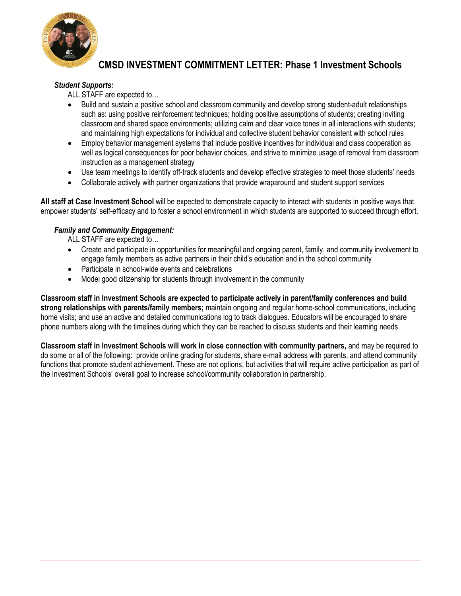

### *Student Supports:*

ALL STAFF are expected to…

- Build and sustain a positive school and classroom community and develop strong student-adult relationships such as: using positive reinforcement techniques; holding positive assumptions of students; creating inviting classroom and shared space environments; utilizing calm and clear voice tones in all interactions with students; and maintaining high expectations for individual and collective student behavior consistent with school rules
- Employ behavior management systems that include positive incentives for individual and class cooperation as well as logical consequences for poor behavior choices, and strive to minimize usage of removal from classroom instruction as a management strategy
- Use team meetings to identify off-track students and develop effective strategies to meet those students' needs
- Collaborate actively with partner organizations that provide wraparound and student support services

**All staff at Case Investment School** will be expected to demonstrate capacity to interact with students in positive ways that empower students' self-efficacy and to foster a school environment in which students are supported to succeed through effort.

## *Family and Community Engagement:*

ALL STAFF are expected to…

- Create and participate in opportunities for meaningful and ongoing parent, family, and community involvement to engage family members as active partners in their child's education and in the school community
- Participate in school-wide events and celebrations
- Model good citizenship for students through involvement in the community

**Classroom staff in Investment Schools are expected to participate actively in parent/family conferences and build strong relationships with parents/family members;** maintain ongoing and regular home-school communications, including home visits; and use an active and detailed communications log to track dialogues. Educators will be encouraged to share phone numbers along with the timelines during which they can be reached to discuss students and their learning needs.

**Classroom staff in Investment Schools will work in close connection with community partners,** and may be required to do some or all of the following: provide online grading for students, share e-mail address with parents, and attend community functions that promote student achievement. These are not options, but activities that will require active participation as part of the Investment Schools' overall goal to increase school/community collaboration in partnership.